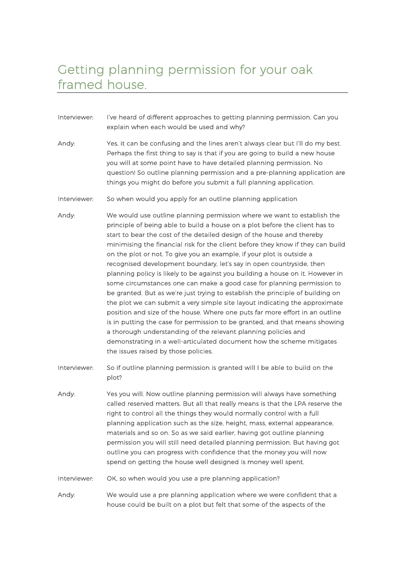## Getting planning permission for your oak framed house.

- Interviewer: I've heard of different approaches to getting planning permission. Can you explain when each would be used and why?
- Andy: Yes, it can be confusing and the lines aren't always clear but I'll do my best. Perhaps the first thing to say is that if you are going to build a new house you will at some point have to have detailed planning permission. No question! So outline planning permission and a pre-planning application are things you might do before you submit a full planning application.
- Interviewer: So when would you apply for an outline planning application
- Andy: We would use outline planning permission where we want to establish the principle of being able to build a house on a plot before the client has to start to bear the cost of the detailed design of the house and thereby minimising the financial risk for the client before they know if they can build on the plot or not. To give you an example, if your plot is outside a recognised development boundary, let's say in open countryside, then planning policy is likely to be against you building a house on it. However in some circumstances one can make a good case for planning permission to be granted. But as we're just trying to establish the principle of building on the plot we can submit a very simple site layout indicating the approximate position and size of the house. Where one puts far more effort in an outline is in putting the case for permission to be granted, and that means showing a thorough understanding of the relevant planning policies and demonstrating in a well-articulated document how the scheme mitigates the issues raised by those policies.
- Interviewer: So if outline planning permission is granted will I be able to build on the plot?
- Andy: Yes you will. Now outline planning permission will always have something called reserved matters. But all that really means is that the LPA reserve the right to control all the things they would normally control with a full planning application such as the size, height, mass, external appearance, materials and so on. So as we said earlier, having got outline planning permission you will still need detailed planning permission. But having got outline you can progress with confidence that the money you will now spend on getting the house well designed is money well spent.
- Interviewer: OK, so when would you use a pre planning application?

Andy: We would use a pre planning application where we were confident that a house could be built on a plot but felt that some of the aspects of the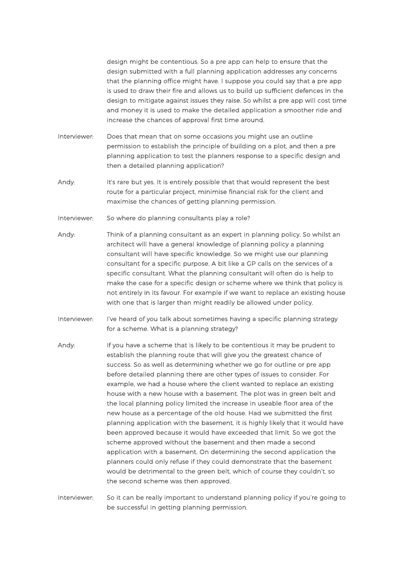design might be contentious. So a pre app can help to ensure that the design submitted with a full planning application addresses any concerns that the planning office might have. I suppose you could say that a pre app is used to draw their fire and allows us to build up sufficient defences in the design to mitigate against issues they raise. So whilst a pre app will cost time and money it is used to make the detailed application a smoother ride and increase the chances of approval first time around.

- Interviewer: Does that mean that on some occasions you might use an outline permission to establish the principle of building on a plot, and then a pre planning application to test the planners response to a specific design and then a detailed planning application?
- Andy: It's rare but yes. It is entirely possible that that would represent the best route for a particular project, minimise financial risk for the client and maximise the chances of getting planning permission.
- Interviewer: So where do planning consultants play a role?
- Andy: Think of a planning consultant as an expert in planning policy. So whilst an architect will have a general knowledge of planning policy a planning consultant will have specific knowledge. So we might use our planning consultant for a specific purpose. A bit like a GP calls on the services of a specific consultant. What the planning consultant will often do is help to make the case for a specific design or scheme where we think that policy is not entirely in its favour. For example if we want to replace an existing house with one that is larger than might readily be allowed under policy.
- Interviewer: I've heard of you talk about sometimes having a specific planning strategy for a scheme. What is a planning strategy?
- Andy: If you have a scheme that is likely to be contentious it may be prudent to establish the planning route that will give you the greatest chance of success. So as well as determining whether we go for outline or pre app before detailed planning there are other types of issues to consider. For example, we had a house where the client wanted to replace an existing house with a new house with a basement. The plot was in green belt and the local planning policy limited the increase in useable floor area of the new house as a percentage of the old house. Had we submitted the first planning application with the basement, it is highly likely that it would have been approved because it would have exceeded that limit. So we got the scheme approved without the basement and then made a second application with a basement. On determining the second application the planners could only refuse if they could demonstrate that the basement would be detrimental to the green belt, which of course they couldn't, so the second scheme was then approved.

Interviewer: So it can be really important to understand planning policy if you're going to be successful in getting planning permission.